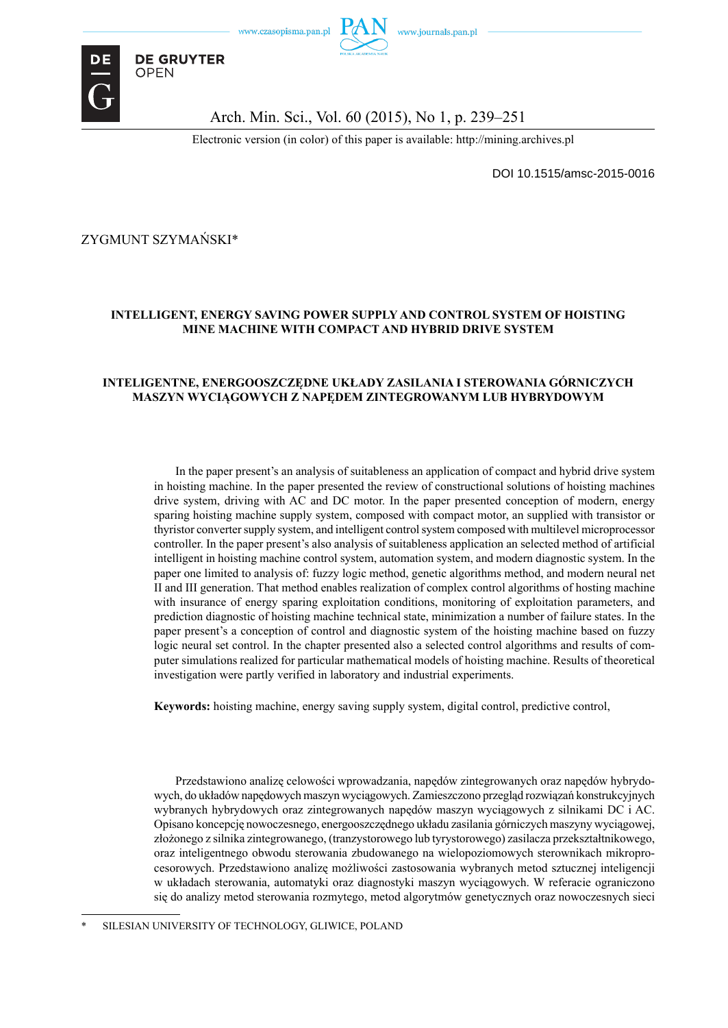

#### Arch. Min. Sci., Vol. 60 (2015), No 1, p. 239–251

Electronic version (in color) of this paper is available: http://mining.archives.pl

DOI 10.1515/amsc-2015-0016

#### ZYGMUNT SZYMAŃSKI\*

**DE GRUYTER OPEN** 

#### **INTELLIGENT, ENERGY SAVING POWER SUPPLY AND CONTROL SYSTEM OF HOISTING MINE MACHINE WITH COMPACT AND HYBRID DRIVE SYSTEM**

#### **INTELIGENTNE, ENERGOOSZCZĘDNE UKŁADY ZASILANIA I STEROWANIA GÓRNICZYCH MASZYN WYCIĄGOWYCH Z NAPĘDEM ZINTEGROWANYM LUB HYBRYDOWYM**

In the paper present's an analysis of suitableness an application of compact and hybrid drive system in hoisting machine. In the paper presented the review of constructional solutions of hoisting machines drive system, driving with AC and DC motor. In the paper presented conception of modern, energy sparing hoisting machine supply system, composed with compact motor, an supplied with transistor or thyristor converter supply system, and intelligent control system composed with multilevel microprocessor controller. In the paper present's also analysis of suitableness application an selected method of artificial intelligent in hoisting machine control system, automation system, and modern diagnostic system. In the paper one limited to analysis of: fuzzy logic method, genetic algorithms method, and modern neural net II and III generation. That method enables realization of complex control algorithms of hosting machine with insurance of energy sparing exploitation conditions, monitoring of exploitation parameters, and prediction diagnostic of hoisting machine technical state, minimization a number of failure states. In the paper present's a conception of control and diagnostic system of the hoisting machine based on fuzzy logic neural set control. In the chapter presented also a selected control algorithms and results of computer simulations realized for particular mathematical models of hoisting machine. Results of theoretical investigation were partly verified in laboratory and industrial experiments.

**Keywords:** hoisting machine, energy saving supply system, digital control, predictive control,

Przedstawiono analizę celowości wprowadzania, napędów zintegrowanych oraz napędów hybrydowych, do układów napędowych maszyn wyciągowych. Zamieszczono przegląd rozwiązań konstrukcyjnych wybranych hybrydowych oraz zintegrowanych napędów maszyn wyciągowych z silnikami DC i AC. Opisano koncepcję nowoczesnego, energooszczędnego układu zasilania górniczych maszyny wyciągowej, złożonego z silnika zintegrowanego, (tranzystorowego lub tyrystorowego) zasilacza przekształtnikowego, oraz inteligentnego obwodu sterowania zbudowanego na wielopoziomowych sterownikach mikroprocesorowych. Przedstawiono analizę możliwości zastosowania wybranych metod sztucznej inteligencji w układach sterowania, automatyki oraz diagnostyki maszyn wyciągowych. W referacie ograniczono się do analizy metod sterowania rozmytego, metod algorytmów genetycznych oraz nowoczesnych sieci

SILESIAN UNIVERSITY OF TECHNOLOGY, GLIWICE, POLAND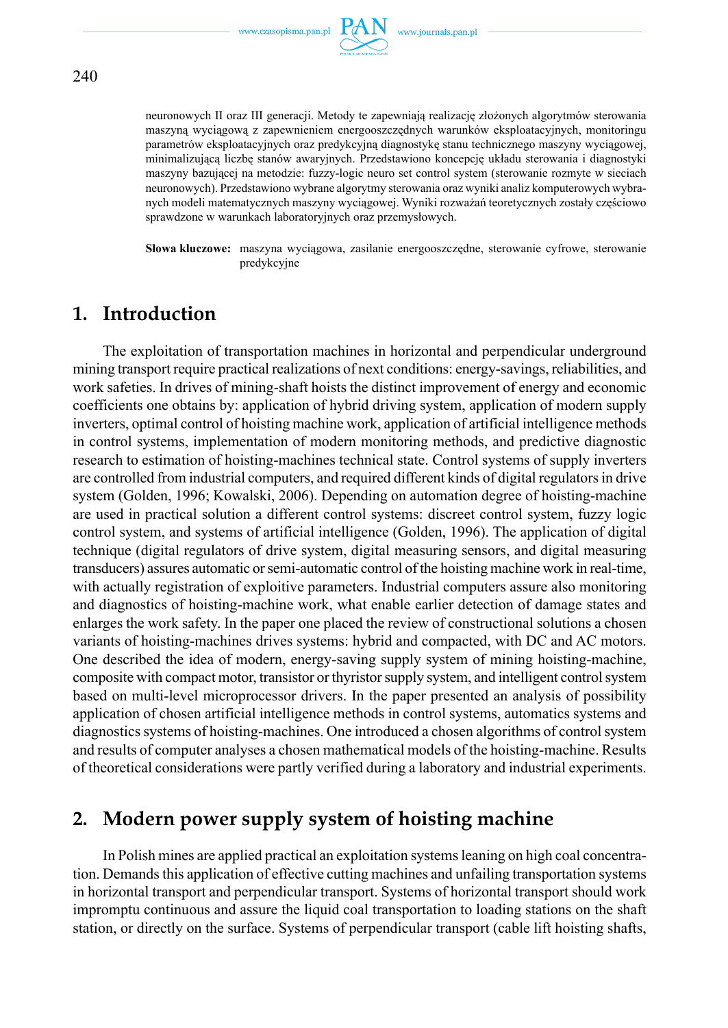

neuronowych II oraz III generacji. Metody te zapewniają realizację złożonych algorytmów sterowania maszyną wyciągową z zapewnieniem energooszczędnych warunków eksploatacyjnych, monitoringu parametrów eksploatacyjnych oraz predykcyjną diagnostykę stanu technicznego maszyny wyciągowej, minimalizującą liczbę stanów awaryjnych. Przedstawiono koncepcję układu sterowania i diagnostyki maszyny bazującej na metodzie: fuzzy-logic neuro set control system (sterowanie rozmyte w sieciach neuronowych). Przedstawiono wybrane algorytmy sterowania oraz wyniki analiz komputerowych wybranych modeli matematycznych maszyny wyciągowej. Wyniki rozważań teoretycznych zostały częściowo sprawdzone w warunkach laboratoryjnych oraz przemysłowych.

**Słowa kluczowe:** maszyna wyciągowa, zasilanie energooszczędne, sterowanie cyfrowe, sterowanie predykcyjne

### **1. Introduction**

The exploitation of transportation machines in horizontal and perpendicular underground mining transport require practical realizations of next conditions: energy-savings, reliabilities, and work safeties. In drives of mining-shaft hoists the distinct improvement of energy and economic coefficients one obtains by: application of hybrid driving system, application of modern supply inverters, optimal control of hoisting machine work, application of artificial intelligence methods in control systems, implementation of modern monitoring methods, and predictive diagnostic research to estimation of hoisting-machines technical state. Control systems of supply inverters are controlled from industrial computers, and required different kinds of digital regulators in drive system (Golden, 1996; Kowalski, 2006). Depending on automation degree of hoisting-machine are used in practical solution a different control systems: discreet control system, fuzzy logic control system, and systems of artificial intelligence (Golden, 1996). The application of digital technique (digital regulators of drive system, digital measuring sensors, and digital measuring transducers) assures automatic or semi-automatic control of the hoisting machine work in real-time, with actually registration of exploitive parameters. Industrial computers assure also monitoring and diagnostics of hoisting-machine work, what enable earlier detection of damage states and enlarges the work safety. In the paper one placed the review of constructional solutions a chosen variants of hoisting-machines drives systems: hybrid and compacted, with DC and AC motors. One described the idea of modern, energy-saving supply system of mining hoisting-machine, composite with compact motor, transistor or thyristor supply system, and intelligent control system based on multi-level microprocessor drivers. In the paper presented an analysis of possibility application of chosen artificial intelligence methods in control systems, automatics systems and diagnostics systems of hoisting-machines. One introduced a chosen algorithms of control system and results of computer analyses a chosen mathematical models of the hoisting-machine. Results of theoretical considerations were partly verified during a laboratory and industrial experiments.

## **2. Modern power supply system of hoisting machine**

In Polish mines are applied practical an exploitation systems leaning on high coal concentration. Demands this application of effective cutting machines and unfailing transportation systems in horizontal transport and perpendicular transport. Systems of horizontal transport should work impromptu continuous and assure the liquid coal transportation to loading stations on the shaft station, or directly on the surface. Systems of perpendicular transport (cable lift hoisting shafts,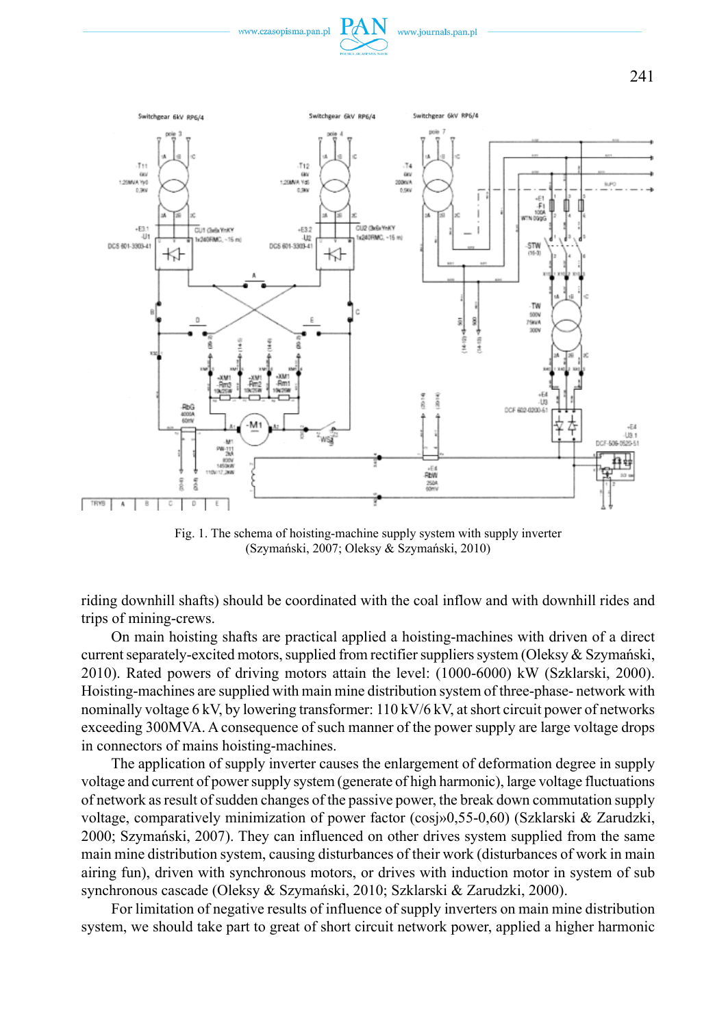



Fig. 1. The schema of hoisting-machine supply system with supply inverter (Szymański, 2007; Oleksy & Szymański, 2010)

riding downhill shafts) should be coordinated with the coal inflow and with downhill rides and trips of mining-crews.

On main hoisting shafts are practical applied a hoisting-machines with driven of a direct current separately-excited motors, supplied from rectifier suppliers system (Oleksy & Szymański, 2010). Rated powers of driving motors attain the level: (1000-6000) kW (Szklarski, 2000). Hoisting-machines are supplied with main mine distribution system of three-phase- network with nominally voltage 6 kV, by lowering transformer: 110 kV/6 kV, at short circuit power of networks exceeding 300MVA. A consequence of such manner of the power supply are large voltage drops in connectors of mains hoisting-machines.

The application of supply inverter causes the enlargement of deformation degree in supply voltage and current of power supply system (generate of high harmonic), large voltage fluctuations of network as result of sudden changes of the passive power, the break down commutation supply voltage, comparatively minimization of power factor (cosj»0,55-0,60) (Szklarski & Zarudzki, 2000; Szymański, 2007). They can influenced on other drives system supplied from the same main mine distribution system, causing disturbances of their work (disturbances of work in main airing fun), driven with synchronous motors, or drives with induction motor in system of sub synchronous cascade (Oleksy & Szymański, 2010; Szklarski & Zarudzki, 2000).

For limitation of negative results of influence of supply inverters on main mine distribution system, we should take part to great of short circuit network power, applied a higher harmonic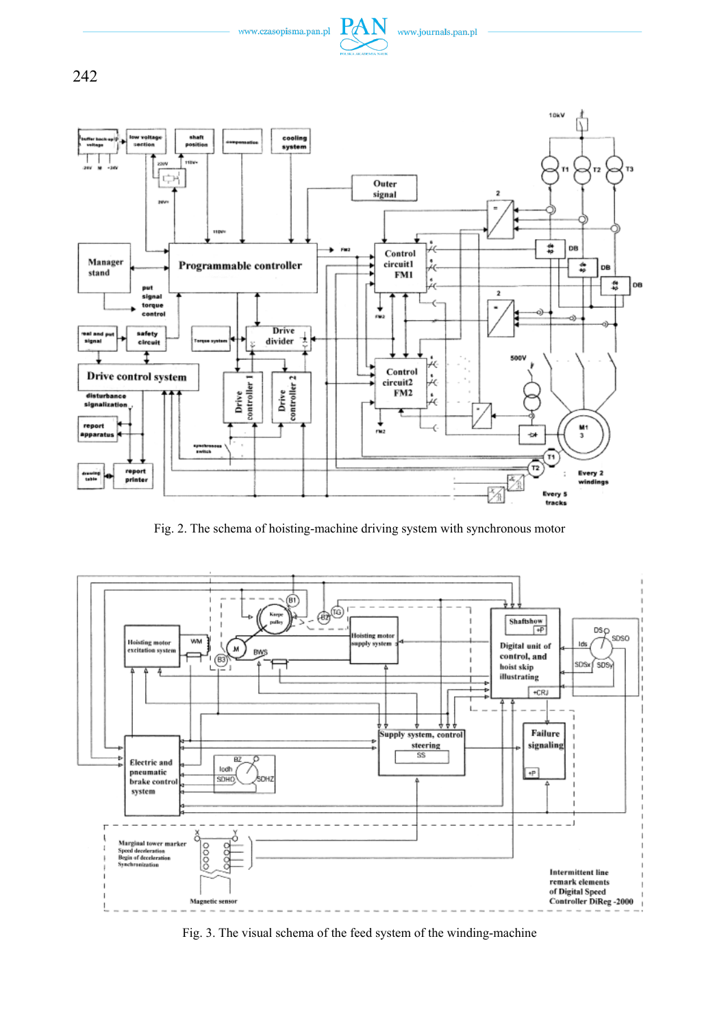





Fig. 2. The schema of hoisting-machine driving system with synchronous motor



Fig. 3. The visual schema of the feed system of the winding-machine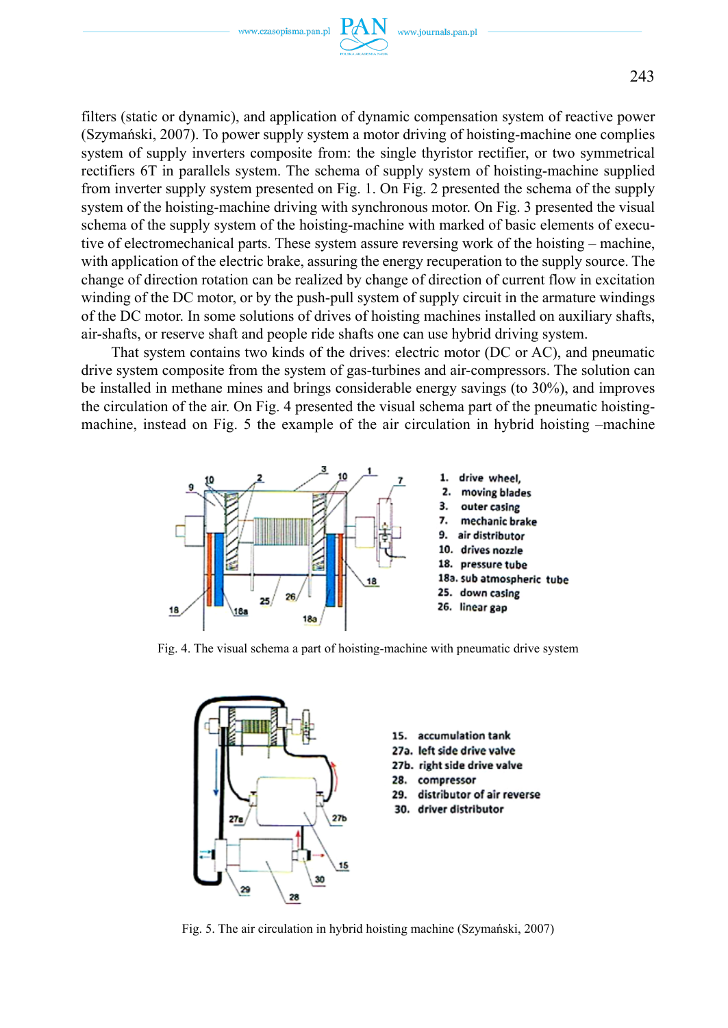

243

filters (static or dynamic), and application of dynamic compensation system of reactive power (Szymański, 2007). To power supply system a motor driving of hoisting-machine one complies system of supply inverters composite from: the single thyristor rectifier, or two symmetrical rectifiers 6T in parallels system. The schema of supply system of hoisting-machine supplied from inverter supply system presented on Fig. 1. On Fig. 2 presented the schema of the supply system of the hoisting-machine driving with synchronous motor. On Fig. 3 presented the visual schema of the supply system of the hoisting-machine with marked of basic elements of executive of electromechanical parts. These system assure reversing work of the hoisting – machine, with application of the electric brake, assuring the energy recuperation to the supply source. The change of direction rotation can be realized by change of direction of current flow in excitation winding of the DC motor, or by the push-pull system of supply circuit in the armature windings of the DC motor. In some solutions of drives of hoisting machines installed on auxiliary shafts, air-shafts, or reserve shaft and people ride shafts one can use hybrid driving system.

That system contains two kinds of the drives: electric motor (DC or AC), and pneumatic drive system composite from the system of gas-turbines and air-compressors. The solution can be installed in methane mines and brings considerable energy savings (to 30%), and improves the circulation of the air. On Fig. 4 presented the visual schema part of the pneumatic hoistingmachine, instead on Fig. 5 the example of the air circulation in hybrid hoisting –machine



Fig. 4. The visual schema a part of hoisting-machine with pneumatic drive system



Fig. 5. The air circulation in hybrid hoisting machine (Szymański, 2007)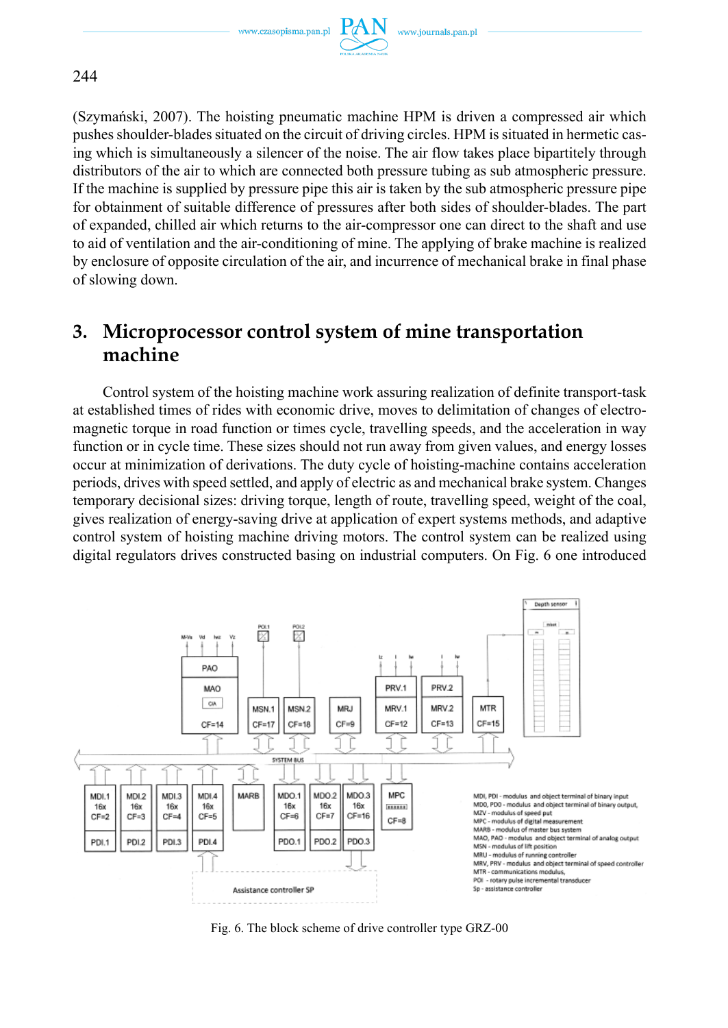

(Szymański, 2007). The hoisting pneumatic machine HPM is driven a compressed air which pushes shoulder-blades situated on the circuit of driving circles. HPM is situated in hermetic casing which is simultaneously a silencer of the noise. The air flow takes place bipartitely through distributors of the air to which are connected both pressure tubing as sub atmospheric pressure. If the machine is supplied by pressure pipe this air is taken by the sub atmospheric pressure pipe for obtainment of suitable difference of pressures after both sides of shoulder-blades. The part of expanded, chilled air which returns to the air-compressor one can direct to the shaft and use to aid of ventilation and the air-conditioning of mine. The applying of brake machine is realized by enclosure of opposite circulation of the air, and incurrence of mechanical brake in final phase of slowing down.

## **3. Microprocessor control system of mine transportation machine**

Control system of the hoisting machine work assuring realization of definite transport-task at established times of rides with economic drive, moves to delimitation of changes of electromagnetic torque in road function or times cycle, travelling speeds, and the acceleration in way function or in cycle time. These sizes should not run away from given values, and energy losses occur at minimization of derivations. The duty cycle of hoisting-machine contains acceleration periods, drives with speed settled, and apply of electric as and mechanical brake system. Changes temporary decisional sizes: driving torque, length of route, travelling speed, weight of the coal, gives realization of energy-saving drive at application of expert systems methods, and adaptive control system of hoisting machine driving motors. The control system can be realized using digital regulators drives constructed basing on industrial computers. On Fig. 6 one introduced



Fig. 6. The block scheme of drive controller type GRZ-00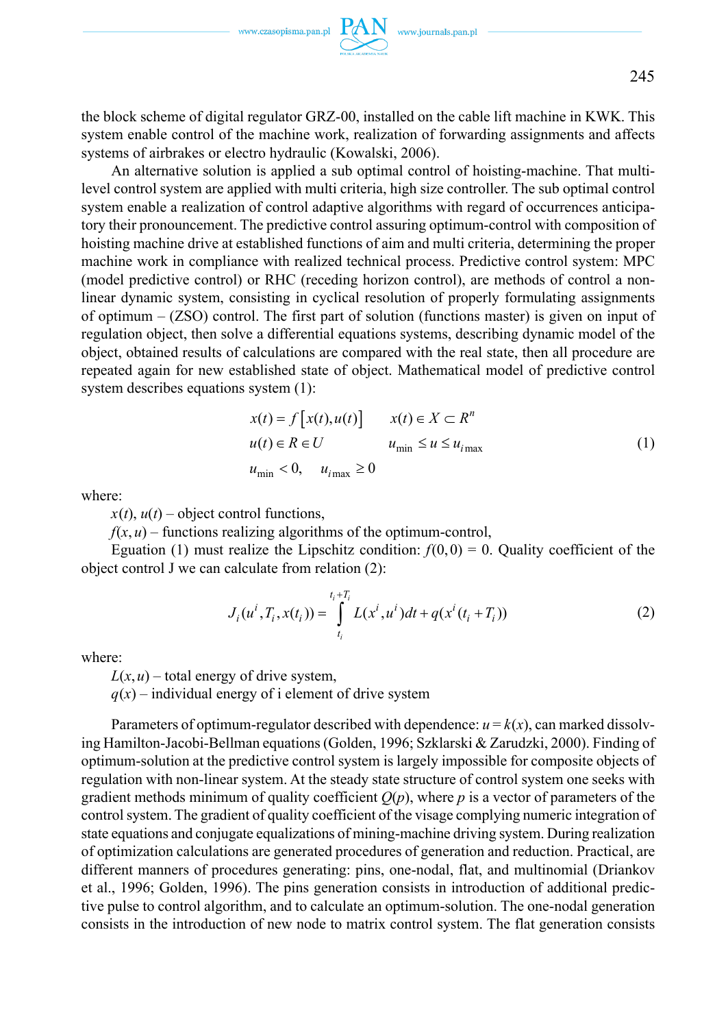the block scheme of digital regulator GRZ-00, installed on the cable lift machine in KWK. This system enable control of the machine work, realization of forwarding assignments and affects systems of airbrakes or electro hydraulic (Kowalski, 2006).

An alternative solution is applied a sub optimal control of hoisting-machine. That multilevel control system are applied with multi criteria, high size controller. The sub optimal control system enable a realization of control adaptive algorithms with regard of occurrences anticipatory their pronouncement. The predictive control assuring optimum-control with composition of hoisting machine drive at established functions of aim and multi criteria, determining the proper machine work in compliance with realized technical process. Predictive control system: MPC (model predictive control) or RHC (receding horizon control), are methods of control a nonlinear dynamic system, consisting in cyclical resolution of properly formulating assignments of optimum – (ZSO) control. The first part of solution (functions master) is given on input of regulation object, then solve a differential equations systems, describing dynamic model of the object, obtained results of calculations are compared with the real state, then all procedure are repeated again for new established state of object. Mathematical model of predictive control system describes equations system (1):

$$
x(t) = f[x(t), u(t)] \qquad x(t) \in X \subset R^{n}
$$
  

$$
u(t) \in R \in U \qquad u_{\min} \le u \le u_{i_{\max}}
$$
  

$$
u_{\min} < 0, \quad u_{i_{\max}} \ge 0
$$
 (1)

where:

 $x(t)$ ,  $u(t)$  – object control functions,

 $f(x, u)$  – functions realizing algorithms of the optimum-control,

Eguation (1) must realize the Lipschitz condition:  $f(0,0) = 0$ . Quality coefficient of the object control J we can calculate from relation (2):

$$
J_i(u^i, T_i, x(t_i)) = \int_{t_i}^{t_i + T_i} L(x^i, u^i) dt + q(x^i(t_i + T_i))
$$
\n(2)

where:

 $L(x, u)$  – total energy of drive system,

 $q(x)$  – individual energy of i element of drive system

Parameters of optimum-regulator described with dependence:  $u = k(x)$ , can marked dissolving Hamilton-Jacobi-Bellman equations (Golden, 1996; Szklarski & Zarudzki, 2000). Finding of optimum-solution at the predictive control system is largely impossible for composite objects of regulation with non-linear system. At the steady state structure of control system one seeks with gradient methods minimum of quality coefficient  $Q(p)$ , where  $p$  is a vector of parameters of the control system. The gradient of quality coefficient of the visage complying numeric integration of state equations and conjugate equalizations of mining-machine driving system. During realization of optimization calculations are generated procedures of generation and reduction. Practical, are different manners of procedures generating: pins, one-nodal, flat, and multinomial (Driankov et al., 1996; Golden, 1996). The pins generation consists in introduction of additional predictive pulse to control algorithm, and to calculate an optimum-solution. The one-nodal generation consists in the introduction of new node to matrix control system. The flat generation consists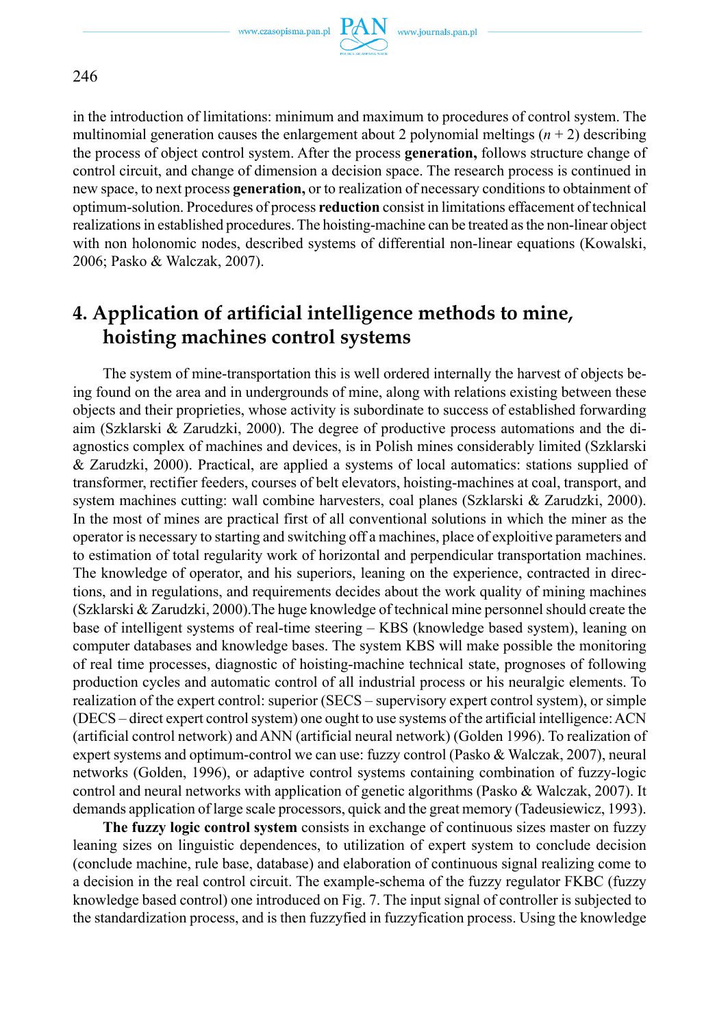

in the introduction of limitations: minimum and maximum to procedures of control system. The multinomial generation causes the enlargement about 2 polynomial meltings  $(n + 2)$  describing the process of object control system. After the process **generation,** follows structure change of control circuit, and change of dimension a decision space. The research process is continued in new space, to next process **generation,** or to realization of necessary conditions to obtainment of optimum-solution. Procedures of process **reduction** consist in limitations effacement of technical realizations in established procedures. The hoisting-machine can be treated as the non-linear object with non holonomic nodes, described systems of differential non-linear equations (Kowalski, 2006; Pasko & Walczak, 2007).

# **4. Application of artificial intelligence methods to mine, hoisting machines control systems**

The system of mine-transportation this is well ordered internally the harvest of objects being found on the area and in undergrounds of mine, along with relations existing between these objects and their proprieties, whose activity is subordinate to success of established forwarding aim (Szklarski & Zarudzki, 2000). The degree of productive process automations and the diagnostics complex of machines and devices, is in Polish mines considerably limited (Szklarski & Zarudzki, 2000). Practical, are applied a systems of local automatics: stations supplied of transformer, rectifier feeders, courses of belt elevators, hoisting-machines at coal, transport, and system machines cutting: wall combine harvesters, coal planes (Szklarski & Zarudzki, 2000). In the most of mines are practical first of all conventional solutions in which the miner as the operator is necessary to starting and switching off a machines, place of exploitive parameters and to estimation of total regularity work of horizontal and perpendicular transportation machines. The knowledge of operator, and his superiors, leaning on the experience, contracted in directions, and in regulations, and requirements decides about the work quality of mining machines (Szklarski  $\&$  Zarudzki, 2000). The huge knowledge of technical mine personnel should create the base of intelligent systems of real-time steering – KBS (knowledge based system), leaning on computer databases and knowledge bases. The system KBS will make possible the monitoring of real time processes, diagnostic of hoisting-machine technical state, prognoses of following production cycles and automatic control of all industrial process or his neuralgic elements. To realization of the expert control: superior (SECS – supervisory expert control system), or simple (DECS – direct expert control system) one ought to use systems of the artificial intelligence: ACN (artificial control network) and ANN (artificial neural network) (Golden 1996). To realization of expert systems and optimum-control we can use: fuzzy control (Pasko & Walczak, 2007), neural networks (Golden, 1996), or adaptive control systems containing combination of fuzzy-logic control and neural networks with application of genetic algorithms (Pasko & Walczak, 2007). It demands application of large scale processors, quick and the great memory (Tadeusiewicz, 1993).

**The fuzzy logic control system** consists in exchange of continuous sizes master on fuzzy leaning sizes on linguistic dependences, to utilization of expert system to conclude decision (conclude machine, rule base, database) and elaboration of continuous signal realizing come to a decision in the real control circuit. The example-schema of the fuzzy regulator FKBC (fuzzy knowledge based control) one introduced on Fig. 7. The input signal of controller is subjected to the standardization process, and is then fuzzyfied in fuzzyfication process. Using the knowledge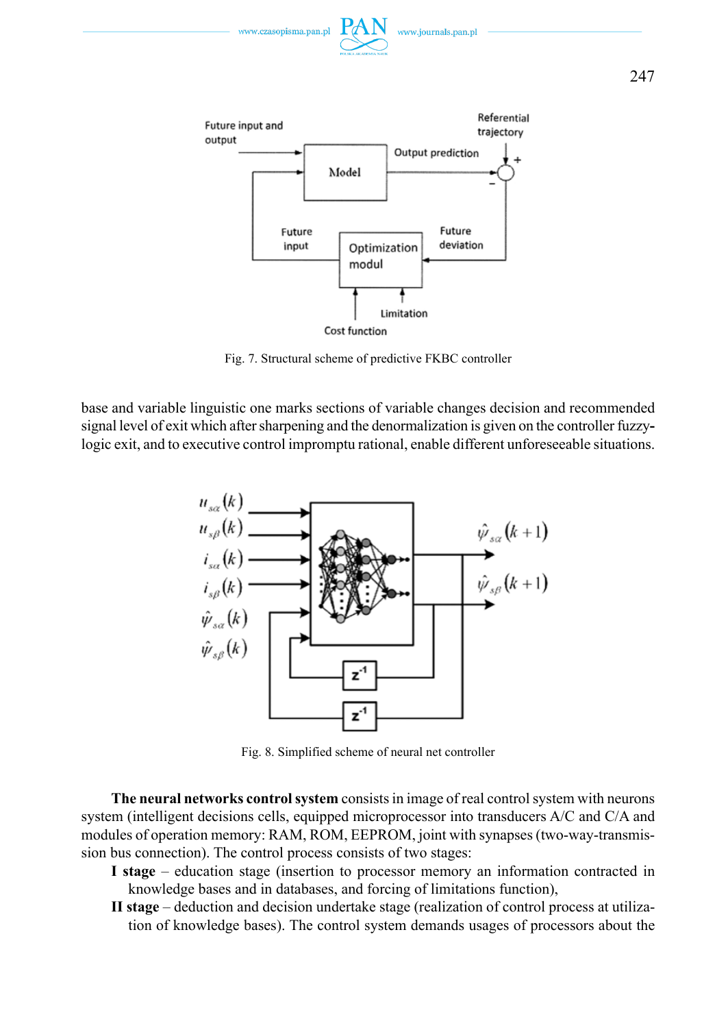



Fig. 7. Structural scheme of predictive FKBC controller

base and variable linguistic one marks sections of variable changes decision and recommended signal level of exit which after sharpening and the denormalization is given on the controller fuzzylogic exit, and to executive control impromptu rational, enable different unforeseeable situations.



Fig. 8. Simplified scheme of neural net controller

**The neural networks control system** consists in image of real control system with neurons system (intelligent decisions cells, equipped microprocessor into transducers A/C and C/A and modules of operation memory: RAM, ROM, EEPROM, joint with synapses (two-way-transmission bus connection). The control process consists of two stages:

- **I stage** education stage (insertion to processor memory an information contracted in knowledge bases and in databases, and forcing of limitations function),
- **II stage** deduction and decision undertake stage (realization of control process at utilization of knowledge bases). The control system demands usages of processors about the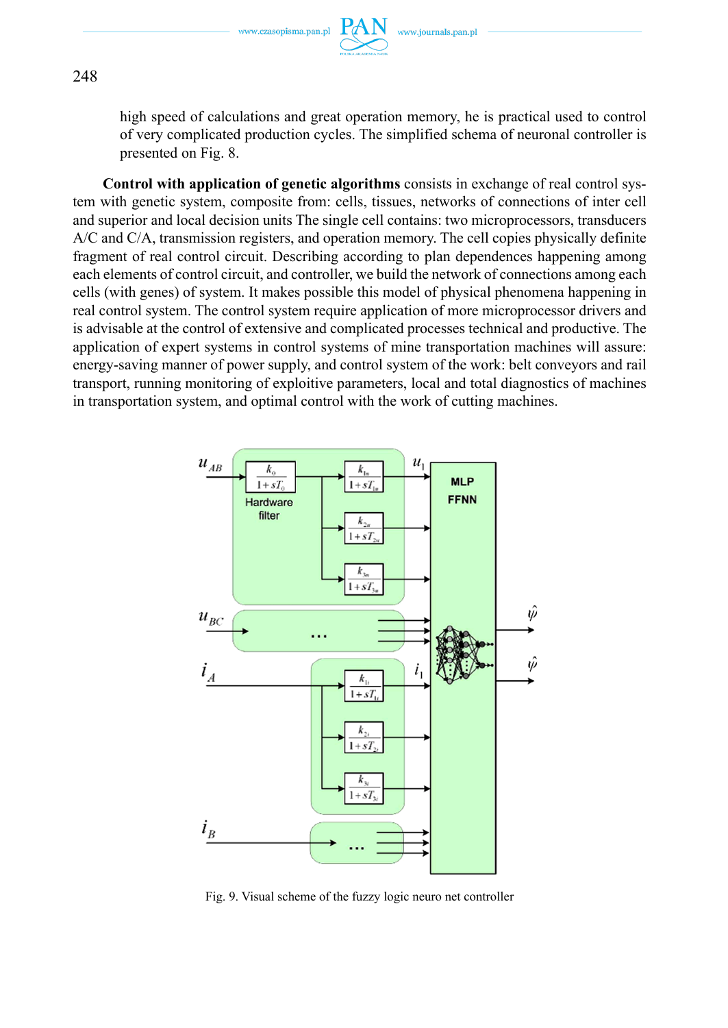

high speed of calculations and great operation memory, he is practical used to control of very complicated production cycles. The simplified schema of neuronal controller is presented on Fig. 8.

**Control with application of genetic algorithms** consists in exchange of real control system with genetic system, composite from: cells, tissues, networks of connections of inter cell and superior and local decision units The single cell contains: two microprocessors, transducers A/C and C/A, transmission registers, and operation memory. The cell copies physically definite fragment of real control circuit. Describing according to plan dependences happening among each elements of control circuit, and controller, we build the network of connections among each cells (with genes) of system. It makes possible this model of physical phenomena happening in real control system. The control system require application of more microprocessor drivers and is advisable at the control of extensive and complicated processes technical and productive. The application of expert systems in control systems of mine transportation machines will assure: energy-saving manner of power supply, and control system of the work: belt conveyors and rail transport, running monitoring of exploitive parameters, local and total diagnostics of machines in transportation system, and optimal control with the work of cutting machines.



Fig. 9. Visual scheme of the fuzzy logic neuro net controller

248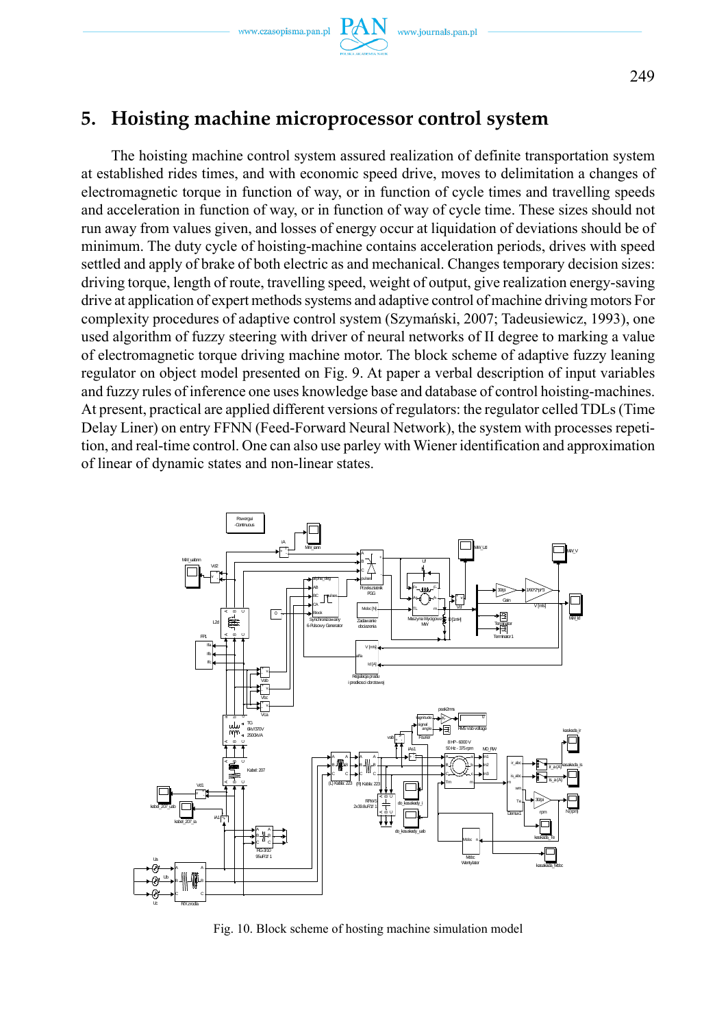# **5. Hoisting machine microprocessor control system**

The hoisting machine control system assured realization of definite transportation system at established rides times, and with economic speed drive, moves to delimitation a changes of electromagnetic torque in function of way, or in function of cycle times and travelling speeds and acceleration in function of way, or in function of way of cycle time. These sizes should not run away from values given, and losses of energy occur at liquidation of deviations should be of minimum. The duty cycle of hoisting-machine contains acceleration periods, drives with speed settled and apply of brake of both electric as and mechanical. Changes temporary decision sizes: driving torque, length of route, travelling speed, weight of output, give realization energy-saving drive at application of expert methods systems and adaptive control of machine driving motors For complexity procedures of adaptive control system (Szymański, 2007; Tadeusiewicz, 1993), one used algorithm of fuzzy steering with driver of neural networks of II degree to marking a value of electromagnetic torque driving machine motor. The block scheme of adaptive fuzzy leaning regulator on object model presented on Fig. 9. At paper a verbal description of input variables and fuzzy rules of inference one uses knowledge base and database of control hoisting-machines. At present, practical are applied different versions of regulators: the regulator celled TDLs (Time Delay Liner) on entry FFNN (Feed-Forward Neural Network), the system with processes repetition, and real-time control. One can also use parley with Wiener identification and approximation of linear of dynamic states and non-linear states.



Fig. 10. Block scheme of hosting machine simulation model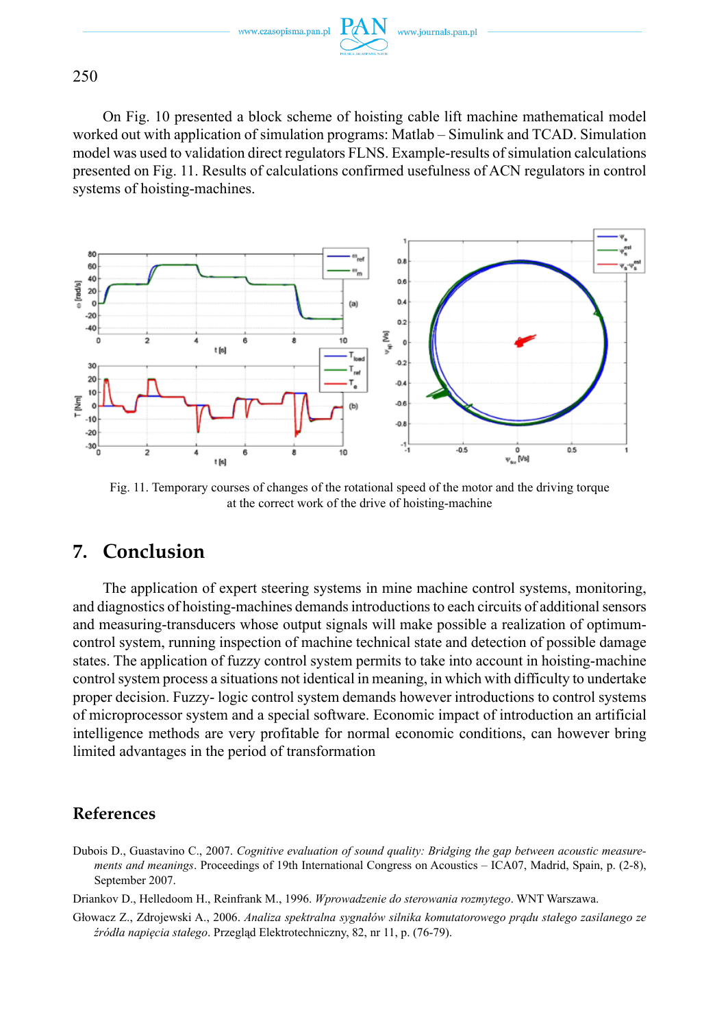

250

On Fig. 10 presented a block scheme of hoisting cable lift machine mathematical model worked out with application of simulation programs: Matlab – Simulink and TCAD. Simulation model was used to validation direct regulators FLNS. Example-results of simulation calculations presented on Fig. 11. Results of calculations confirmed usefulness of ACN regulators in control systems of hoisting-machines.



Fig. 11. Temporary courses of changes of the rotational speed of the motor and the driving torque at the correct work of the drive of hoisting-machine

## **7. Conclusion**

The application of expert steering systems in mine machine control systems, monitoring, and diagnostics of hoisting-machines demands introductions to each circuits of additional sensors and measuring-transducers whose output signals will make possible a realization of optimumcontrol system, running inspection of machine technical state and detection of possible damage states. The application of fuzzy control system permits to take into account in hoisting-machine control system process a situations not identical in meaning, in which with difficulty to undertake proper decision. Fuzzy- logic control system demands however introductions to control systems of microprocessor system and a special software. Economic impact of introduction an artificial intelligence methods are very profitable for normal economic conditions, can however bring limited advantages in the period of transformation

#### **References**

Dubois D., Guastavino C., 2007. *Cognitive evaluation of sound quality: Bridging the gap between acoustic measurements and meanings*. Proceedings of 19th International Congress on Acoustics – ICA07, Madrid, Spain, p. (2-8), September 2007.

Driankov D., Helledoom H., Reinfrank M., 1996. *Wprowadzenie do sterowania rozmytego*. WNT Warszawa.

Głowacz Z., Zdrojewski A., 2006. *Analiza spektralna sygnałów silnika komutatorowego prądu stałego zasilanego ze źródła napięcia stałego*. Przegląd Elektrotechniczny, 82, nr 11, p. (76-79).